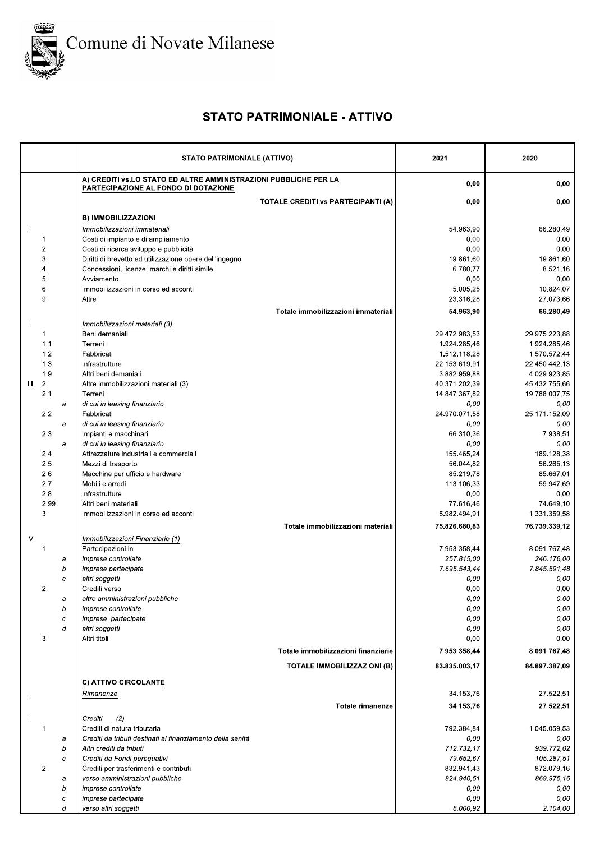

## **STATO PATRIMONIALE - ATTIVO**

|                              | <b>STATO PATRIMONIALE (ATTIVO)</b>                                                                       | 2021              | 2020             |
|------------------------------|----------------------------------------------------------------------------------------------------------|-------------------|------------------|
|                              | A) CREDITI vs.LO STATO ED ALTRE AMMINISTRAZIONI PUBBLICHE PER LA<br>PARTECIPAZIONE AL FONDO DI DOTAZIONE | 0,00              | 0,00             |
|                              | <b>TOTALE CREDITI VS PARTECIPANTI (A)</b>                                                                | 0,00              | 0,00             |
|                              | B) IMMOBILIZZAZIONI                                                                                      |                   |                  |
|                              | Immobilizzazioni immateriali                                                                             | 54.963,90         | 66.280,49        |
| $\mathbf 1$                  | Costi di impianto e di ampliamento                                                                       | 0,00              | 0,00             |
| $\overline{\mathbf{c}}$      | Costi di ricerca sviluppo e pubblicità                                                                   | 0,00              | 0,00             |
| 3                            | Diritti di brevetto ed utilizzazione opere dell'ingegno                                                  | 19.861,60         | 19.861,60        |
| $\overline{4}$               | Concessioni, licenze, marchi e diritti simile                                                            | 6.780,77          | 8.521,16         |
| 5                            | Avviamento                                                                                               | 0,00              | 0,00             |
| 6                            | Immobilizzazioni in corso ed acconti                                                                     | 5.005,25          | 10.824,07        |
| 9                            | Altre                                                                                                    | 23.316,28         | 27.073,66        |
|                              | Totale immobilizzazioni immateriali                                                                      | 54.963,90         | 66.280,49        |
| Ш                            | Immobilizzazioni materiali (3)                                                                           |                   |                  |
| $\mathbf 1$                  | Beni demaniali                                                                                           | 29.472.983,53     | 29.975.223,88    |
| 1.1                          | Terreni                                                                                                  | 1.924.285,46      | 1.924.285,46     |
| 1.2                          | Fabbricati                                                                                               | 1.512.118,28      | 1.570.572,44     |
| 1.3                          | Infrastrutture                                                                                           | 22.153.619,91     | 22.450.442,13    |
| 1.9                          | Altri beni demaniali                                                                                     | 3.882.959,88      | 4.029.923,85     |
| $\overline{\mathbf{c}}$<br>Ш | Altre immobilizzazioni materiali (3)                                                                     | 40.371.202,39     | 45.432.755,66    |
| 2.1                          | Terreni                                                                                                  | 14.847.367,82     | 19.788.007,75    |
| a                            | di cui in leasing finanziario                                                                            | 0,00              | 0.00             |
| 2.2                          | Fabbricati                                                                                               | 24.970.071.58     | 25.171.152,09    |
| a                            | di cui in leasing finanziario                                                                            | 0,00              | 0,00             |
| 23<br>a                      | Impianti e macchinari                                                                                    | 66.310,36<br>0,00 | 7.938,51<br>0,00 |
| 2.4                          | di cui in leasing finanziario<br>Attrezzature industriali e commerciali                                  | 155.465,24        | 189.128,38       |
| 2.5                          | Mezzi di trasporto                                                                                       | 56.044,82         | 56.265,13        |
| 2.6                          | Macchine per ufficio e hardware                                                                          | 85.219,78         | 85.667,01        |
| 2.7                          | Mobili e arredi                                                                                          | 113.106,33        | 59.947,69        |
| 2.8                          | Infrastrutture                                                                                           | 0,00              | 0,00             |
| 2.99                         | Altri beni materiali                                                                                     | 77.616,46         | 74.649,10        |
| 3                            | Immobilizzazioni in corso ed acconti                                                                     | 5.982.494,91      | 1.331.359,58     |
|                              | Totale immobilizzazioni materiali                                                                        | 75.826.680,83     | 76.739.339,12    |
| IV                           | Immobilizzazioni Finanziarie (1)                                                                         |                   |                  |
| 1                            | Partecipazioni in                                                                                        | 7.953.358,44      | 8.091.767,48     |
| а                            | <i>imprese controllate</i>                                                                               | 257.815,00        | 246.176.00       |
| b                            | imprese partecipate                                                                                      | 7.695.543,44      | 7.845.591,48     |
| $\boldsymbol{c}$             | altri soggetti                                                                                           | 0,00              | 0,00             |
| $\overline{2}$               | Crediti verso                                                                                            | 0,00              | 0,00             |
| а                            | altre amministrazioni pubbliche                                                                          | 0,00              | 0,00             |
| b                            | imprese controllate                                                                                      | 0,00              | 0,00             |
| c                            | imprese partecipate                                                                                      | 0,00              | 0,00             |
| d                            | altri soggetti                                                                                           | 0,00              | 0,00             |
| 3                            | Altri titoli                                                                                             | 0,00              | 0,00             |
|                              | Totale immobilizzazioni finanziarie                                                                      | 7.953.358,44      | 8.091.767,48     |
|                              | TOTALE IMMOBILIZZAZIONI (B)                                                                              | 83.835.003,17     | 84.897.387,09    |
|                              |                                                                                                          |                   |                  |
|                              | C) ATTIVO CIRCOLANTE                                                                                     |                   |                  |
|                              | Rimanenze                                                                                                | 34.153,76         | 27.522,51        |
|                              | <b>Totale rimanenze</b>                                                                                  | 34.153,76         | 27.522,51        |
| Ш                            | Crediti<br>(2)                                                                                           |                   |                  |
| $\overline{1}$               | Crediti di natura tributaria                                                                             | 792.384,84        | 1.045.059,53     |
| а                            | Crediti da tributi destinati al finanziamento della sanità                                               | 0,00              | 0,00             |
| b                            | Altri crediti da tributi                                                                                 | 712.732,17        | 939.772,02       |
| c                            | Crediti da Fondi perequativi                                                                             | 79.652,67         | 105.287,51       |
| $\overline{c}$               | Crediti per trasferimenti e contributi                                                                   | 832.941,43        | 872.079,16       |
| a                            | verso amministrazioni pubbliche                                                                          | 824.940,51        | 869.975,16       |
| b                            | imprese controllate<br>imprese partecipate                                                               | 0,00<br>0,00      | 0,00<br>0,00     |
| с<br>d                       | verso altri soggetti                                                                                     | 8.000,92          | 2.104,00         |
|                              |                                                                                                          |                   |                  |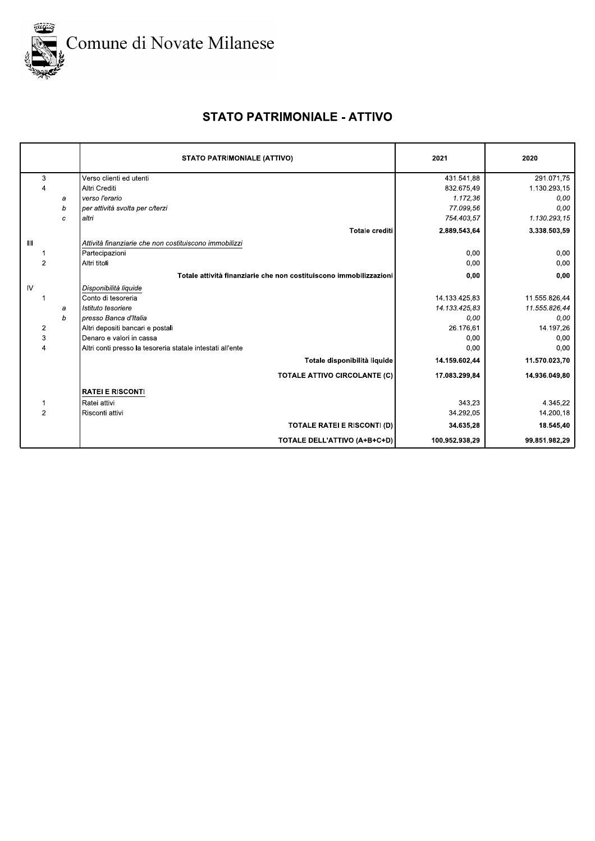

## **STATO PATRIMONIALE - ATTIVO**

|                |   | <b>STATO PATRIMONIALE (ATTIVO)</b>                                 | 2021           | 2020          |
|----------------|---|--------------------------------------------------------------------|----------------|---------------|
| 3              |   | Verso clienti ed utenti                                            | 431.541,88     | 291.071,75    |
| 4              |   | Altri Crediti                                                      | 832.675,49     | 1.130.293,15  |
|                | a | verso l'erario                                                     | 1.172,36       | 0,00          |
|                | b | per attività svolta per c/terzi                                    | 77.099,56      | 0.00          |
|                | c | altri                                                              | 754.403,57     | 1.130.293,15  |
|                |   | <b>Totale crediti</b>                                              | 2.889.543,64   | 3.338.503,59  |
| $\mathbf{III}$ |   | Attività finanziarie che non costituiscono immobilizzi             |                |               |
|                |   | Partecipazioni                                                     | 0,00           | 0,00          |
| 2              |   | Altri titoli                                                       | 0,00           | 0,00          |
|                |   | Totale attività finanziarie che non costituiscono immobilizzazioni | 0,00           | 0,00          |
| IV             |   | Disponibilità liquide                                              |                |               |
|                |   | Conto di tesoreria                                                 | 14.133.425,83  | 11.555.826,44 |
|                | а | Istituto tesoriere                                                 | 14.133.425,83  | 11.555.826,44 |
|                | b | presso Banca d'Italia                                              | 0,00           | 0,00          |
| $\overline{2}$ |   | Altri depositi bancari e postali                                   | 26.176,61      | 14.197,26     |
| 3              |   | Denaro e valori in cassa                                           | 0,00           | 0,00          |
| 4              |   | Altri conti presso la tesoreria statale intestati all'ente         | 0,00           | 0,00          |
|                |   | Totale disponibilità liquide                                       | 14.159.602,44  | 11.570.023,70 |
|                |   | TOTALE ATTIVO CIRCOLANTE (C)                                       | 17.083.299,84  | 14.936.049,80 |
|                |   | <b>IRATEI E RISCONTI</b>                                           |                |               |
|                |   | Ratei attivi                                                       | 343,23         | 4.345,22      |
| $\overline{2}$ |   | Risconti attivi                                                    | 34.292,05      | 14.200,18     |
|                |   | <b>TOTALE RATEI E RISCONTI (D)</b>                                 | 34.635,28      | 18.545,40     |
|                |   | TOTALE DELL'ATTIVO (A+B+C+D)                                       | 100.952.938,29 | 99.851.982,29 |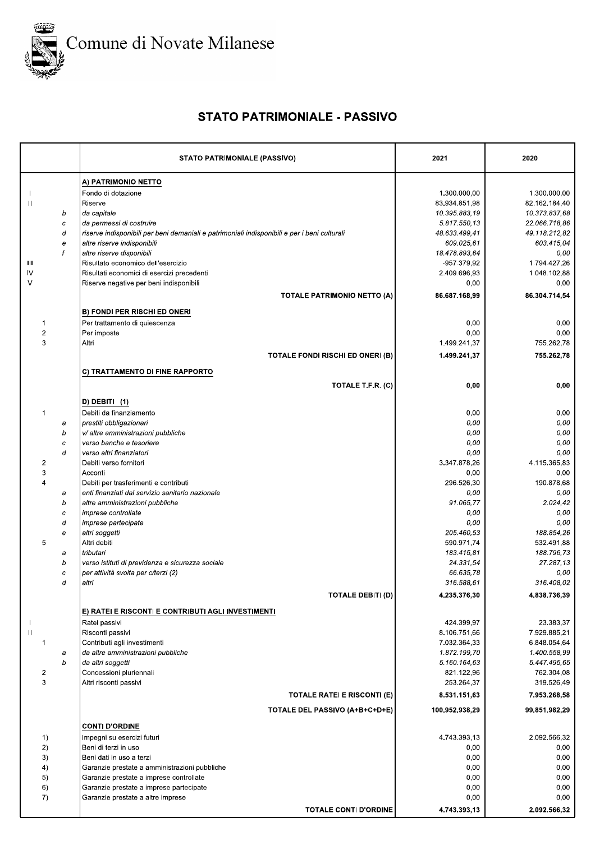

## **STATO PATRIMONIALE - PASSIVO**

|                         |        | <b>STATO PATRIMONIALE (PASSIVO)</b>                                                          | 2021                         | 2020                         |
|-------------------------|--------|----------------------------------------------------------------------------------------------|------------------------------|------------------------------|
|                         |        | A) PATRIMONIO NETTO                                                                          |                              |                              |
|                         |        | Fondo di dotazione                                                                           | 1.300.000,00                 | 1.300.000,00                 |
| Ш                       |        | Riserve                                                                                      | 83.934.851,98                | 82.162.184,40                |
|                         | b      | da capitale                                                                                  | 10.395.883.19                | 10.373.837,68                |
|                         | C      | da permessi di costruire                                                                     | 5.817.550,13                 | 22.066.718,86                |
|                         | d      | riserve indisponibili per beni demaniali e patrimoniali indisponibili e per i beni culturali | 48.633.499,41                | 49.118.212,82                |
|                         | е<br>f | altre riserve indisponibili<br>altre riserve disponibili                                     | 609.025,61<br>18.478.893,64  | 603.415,04<br>0,00           |
| Ш                       |        | Risultato economico dell'esercizio                                                           | -957.379,92                  | 1.794.427,26                 |
| IV                      |        | Risultati economici di esercizi precedenti                                                   | 2.409.696,93                 | 1.048.102,88                 |
| $\vee$                  |        | Riserve negative per beni indisponibili                                                      | 0,00                         | 0,00                         |
|                         |        | <b>TOTALE PATRIMONIO NETTO (A)</b>                                                           | 86.687.168,99                | 86.304.714,54                |
|                         |        | <b>B) FONDI PER RISCHI ED ONERI</b>                                                          |                              |                              |
| 1                       |        | Per trattamento di quiescenza                                                                | 0,00                         | 0,00                         |
| $\overline{2}$<br>3     |        | Per imposte<br>Altri                                                                         | 0,00<br>1.499.241,37         | 0,00<br>755.262,78           |
|                         |        | <b>TOTALE FONDI RISCHI ED ONERI (B)</b>                                                      | 1.499.241,37                 | 755.262,78                   |
|                         |        | C) TRATTAMENTO DI FINE RAPPORTO                                                              |                              |                              |
|                         |        | TOTALE T.F.R. (C)                                                                            | 0,00                         | 0,00                         |
|                         |        | $D)$ DEBITI $(1)$                                                                            |                              |                              |
| 1                       |        | Debiti da finanziamento                                                                      | 0,00                         | 0,00                         |
|                         | a      | prestiti obbligazionari                                                                      | 0,00                         | 0,00                         |
|                         | b      | v/ altre amministrazioni pubbliche                                                           | 0,00                         | 0,00                         |
|                         | с      | verso banche e tesoriere                                                                     | 0,00                         | 0,00                         |
|                         | d      | verso altri finanziatori                                                                     | 0,00                         | 0,00                         |
| 2<br>3                  |        | Debiti verso fornitori<br>Acconti                                                            | 3.347.878,26<br>0,00         | 4.115.365,83<br>0,00         |
| $\overline{\mathbf{4}}$ |        | Debiti per trasferimenti e contributi                                                        | 296.526,30                   | 190.878,68                   |
|                         | а      | enti finanziati dal servizio sanitario nazionale                                             | 0,00                         | 0,00                         |
|                         | b      | altre amministrazioni pubbliche                                                              | 91.065,77                    | 2.024,42                     |
|                         | с      | <i>imprese controllate</i>                                                                   | 0,00                         | 0,00                         |
|                         | d      | <i>imprese partecipate</i>                                                                   | 0,00                         | 0,00                         |
| 5                       | е      | altri soggetti<br>Altri debiti                                                               | 205.460,53<br>590.971,74     | 188.854,26<br>532.491,88     |
|                         | а      | tributari                                                                                    | 183.415,81                   | 188.796,73                   |
|                         | b      | verso istituti di previdenza e sicurezza sociale                                             | 24.331,54                    | 27.287,13                    |
|                         | с      | per attività svolta per c/terzi (2)                                                          | 66.635,78                    | 0,00                         |
|                         | d      | altri                                                                                        | 316.588.61                   | 316.408.02                   |
|                         |        | <b>TOTALE DEBITI (D)</b>                                                                     | 4.235.376,30                 | 4.838.736,39                 |
|                         |        | E) RATEI E RISCONTI E CONTRIBUTI AGLI INVESTIMENTI                                           |                              |                              |
|                         |        | Ratei passivi                                                                                | 424.399,97                   | 23.383,37                    |
| $\mathbf{H}$<br>1       |        | Risconti passivi<br>Contributi agli investimenti                                             | 8.106.751,66<br>7.032.364,33 | 7.929.885,21<br>6.848.054.64 |
|                         | a      | da altre amministrazioni pubbliche                                                           | 1.872.199,70                 | 1.400.558,99                 |
|                         | b      | da altri soggetti                                                                            | 5.160.164,63                 | 5.447.495,65                 |
| 2                       |        | Concessioni pluriennali                                                                      | 821.122,96                   | 762.304,08                   |
| 3                       |        | Altri risconti passivi                                                                       | 253.264,37                   | 319.526,49                   |
|                         |        | <b>TOTALE RATEI E RISCONTI (E)</b>                                                           | 8.531.151,63                 | 7.953.268,58                 |
|                         |        | TOTALE DEL PASSIVO (A+B+C+D+E)<br><b>CONTI D'ORDINE</b>                                      | 100.952.938,29               | 99.851.982.29                |
| 1)                      |        | Impegni su esercizi futuri                                                                   | 4.743.393,13                 | 2.092.566,32                 |
| 2)                      |        | Beni di terzi in uso                                                                         | 0,00                         | 0,00                         |
| 3)                      |        | Beni dati in uso a terzi                                                                     | 0,00                         | 0,00                         |
| 4)                      |        | Garanzie prestate a amministrazioni pubbliche                                                | 0,00                         | 0,00                         |
| 5)                      |        | Garanzie prestate a imprese controllate                                                      | 0,00                         | 0,00                         |
| 6)                      |        | Garanzie prestate a imprese partecipate                                                      | 0,00<br>0,00                 | 0,00<br>0,00                 |
| 7)                      |        | Garanzie prestate a altre imprese                                                            |                              |                              |
|                         |        | <b>TOTALE CONTI D'ORDINE</b>                                                                 | 4.743.393,13                 | 2.092.566,32                 |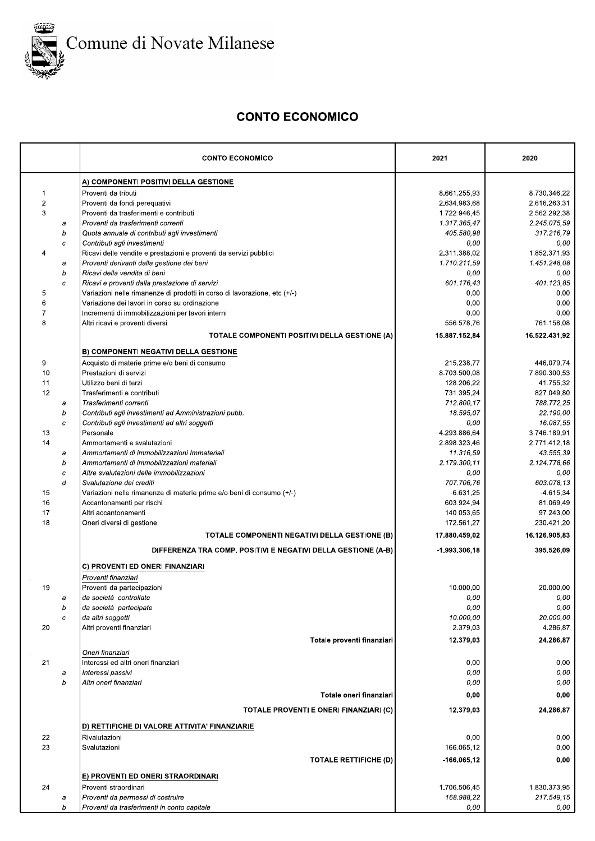

# Comune di Novate Milanese

### **CONTO ECONOMICO**

|                |                  | <b>CONTO ECONOMICO</b>                                                    | 2021           | 2020          |
|----------------|------------------|---------------------------------------------------------------------------|----------------|---------------|
|                |                  | A) COMPONENTI POSITIVI DELLA GESTIONE                                     |                |               |
| $\mathbf{1}$   |                  | Proventi da tributi                                                       | 8.661.255,93   | 8.730.346,22  |
| $\overline{2}$ |                  | Proventi da fondi perequativi                                             | 2.634.983,68   | 2.616.263,31  |
| 3              |                  | Proventi da trasferimenti e contributi                                    | 1.722.946,45   | 2.562.292,38  |
|                | a                | Proventi da trasferimenti correnti                                        | 1.317.365,47   | 2.245.075,59  |
|                | b                | Quota annuale di contributi agli investimenti                             | 405.580,98     | 317.216,79    |
|                | $\boldsymbol{c}$ | Contributi agli investimenti                                              | 0,00           | 0,00          |
| 4              |                  | Ricavi delle vendite e prestazioni e proventi da servizi pubblici         | 2.311.388,02   | 1.852.371,93  |
|                | a                | Proventi derivanti dalla gestione dei beni                                | 1.710.211,59   | 1.451.248,08  |
|                | b                | Ricavi della vendita di beni                                              | 0,00           | 0,00          |
|                | c                | Ricavi e proventi dalla prestazione di servizi                            | 601.176,43     | 401.123.85    |
| 5              |                  | Variazioni nelle rimanenze di prodotti in corso di lavorazione, etc (+/-) | 0,00           | 0,00          |
| 6              |                  | Variazione dei lavori in corso su ordinazione                             | 0,00           | 0,00          |
| $\overline{7}$ |                  | Incrementi di immobilizzazioni per lavori interni                         | 0,00           | 0,00          |
| 8              |                  | Altri ricavi e proventi diversi                                           | 556.578,76     | 761.158,08    |
|                |                  | TOTALE COMPONENTI POSITIVI DELLA GESTIONE (A)                             | 15.887.152,84  | 16.522.431,92 |
|                |                  | <b>B) COMPONENTI NEGATIVI DELLA GESTIONE</b>                              |                |               |
| 9              |                  | Acquisto di materie prime e/o beni di consumo                             | 215.238,77     | 446.079,74    |
| 10             |                  | Prestazioni di servizi                                                    | 8.703.500,08   | 7.890.300,53  |
| 11             |                  | Utilizzo beni di terzi                                                    | 128.206,22     | 41.755,32     |
| 12             |                  | Trasferimenti e contributi                                                | 731.395,24     | 827.049,80    |
|                | a                | Trasferimenti correnti                                                    | 712.800.17     | 788.772,25    |
|                | b                | Contributi agli investimenti ad Amministrazioni pubb.                     | 18.595,07      | 22.190,00     |
|                | c                | Contributi agli investimenti ad altri soggetti                            | 0,00           | 16.087,55     |
| 13             |                  | Personale                                                                 | 4.293.886,64   | 3.746.189,91  |
| 14             |                  | Ammortamenti e svalutazioni                                               | 2.898.323,46   | 2.771.412,18  |
|                | а                | Ammortamenti di immobilizzazioni Immateriali                              | 11.316,59      | 43.555,39     |
|                | b                | Ammortamenti di immobilizzazioni materiali                                | 2.179.300,11   | 2.124.778,66  |
|                | с                | Altre svalutazioni delle immobilizzazioni                                 | 0,00           | 0,00          |
|                | d                | Svalutazione dei crediti                                                  | 707.706,76     | 603.078,13    |
| 15             |                  | Variazioni nelle rimanenze di materie prime e/o beni di consumo (+/-)     | $-6.631,25$    | $-4.615,34$   |
| 16             |                  | Accantonamenti per rischi                                                 | 603.924,94     | 81.069,49     |
| 17             |                  | Altri accantonamenti                                                      | 140.053,65     | 97.243,00     |
| 18             |                  | Oneri diversi di gestione                                                 | 172.561,27     | 230.421,20    |
|                |                  | TOTALE COMPONENTI NEGATIVI DELLA GESTIONE (B)                             | 17.880.459,02  | 16.126.905,83 |
|                |                  | DIFFERENZA TRA COMP. POSITIVI E NEGATIVI DELLA GESTIONE (A-B)             | -1.993.306,18  | 395.526,09    |
|                |                  | C) PROVENTI ED ONERI FINANZIARI                                           |                |               |
|                |                  | Proventi finanziari                                                       |                |               |
| 19             |                  | Proventi da partecipazioni                                                | 10.000,00      | 20.000,00     |
|                | a                | da società controllate                                                    | 0,00           | 0,00          |
|                | b                | da società partecipate                                                    | 0,00           | 0,00          |
|                | $\boldsymbol{c}$ | da altri soggetti                                                         | 10.000,00      | 20.000,00     |
| 20             |                  | Altri proventi finanziari                                                 | 2.379,03       | 4.286,87      |
|                |                  | Totale proventi finanziari                                                | 12.379,03      | 24.286,87     |
|                |                  | Oneri finanziari                                                          |                |               |
| 21             |                  | Interessi ed altri oneri finanziari                                       | 0,00           | 0,00          |
|                | a                | Interessi passivi                                                         | 0,00           | 0,00          |
|                | b                | Altri oneri finanziari                                                    | 0,00           | 0,00          |
|                |                  | Totale oneri finanziari                                                   | 0,00           | 0,00          |
|                |                  | TOTALE PROVENTI E ONERI FINANZIARI (C)                                    | 12.379,03      | 24.286,87     |
|                |                  | D) RETTIFICHE DI VALORE ATTIVITA' FINANZIARIE                             |                |               |
| 22             |                  | Rivalutazioni                                                             | 0,00           | 0,00          |
| 23             |                  | Svalutazioni                                                              | 166.065,12     | 0,00          |
|                |                  |                                                                           |                |               |
|                |                  | <b>TOTALE RETTIFICHE (D)</b>                                              | $-166.065, 12$ | 0,00          |
|                |                  | E) PROVENTI ED ONERI STRAORDINARI                                         |                |               |
| 24             |                  | Proventi straordinari                                                     | 1.706.506,45   | 1.830.373,95  |
|                | a                | Proventi da permessi di costruire                                         | 168.988,22     | 217.549,15    |
|                | b                | Proventi da trasferimenti in conto capitale                               | 0,00           | 0,00          |